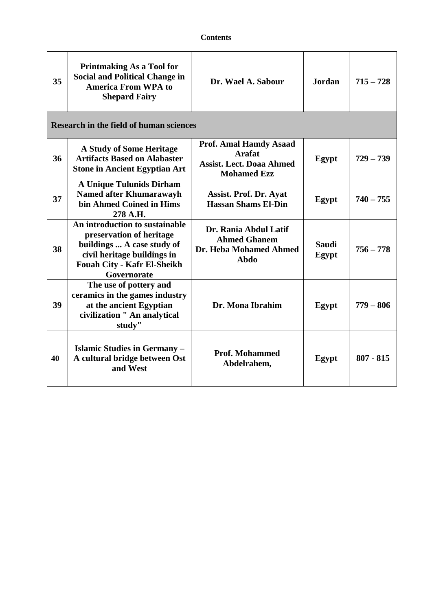| 35 | <b>Printmaking As a Tool for</b><br><b>Social and Political Change in</b><br><b>America From WPA to</b><br><b>Shepard Fairy</b>                                              | Dr. Wael A. Sabour                                                                                      | <b>Jordan</b>         | $715 - 728$ |  |
|----|------------------------------------------------------------------------------------------------------------------------------------------------------------------------------|---------------------------------------------------------------------------------------------------------|-----------------------|-------------|--|
|    | Research in the field of human sciences                                                                                                                                      |                                                                                                         |                       |             |  |
| 36 | <b>A Study of Some Heritage</b><br><b>Artifacts Based on Alabaster</b><br><b>Stone in Ancient Egyptian Art</b>                                                               | <b>Prof. Amal Hamdy Asaad</b><br><b>Arafat</b><br><b>Assist. Lect. Doaa Ahmed</b><br><b>Mohamed Ezz</b> | Egypt                 | $729 - 739$ |  |
| 37 | <b>A Unique Tulunids Dirham</b><br><b>Named after Khumarawayh</b><br>bin Ahmed Coined in Hims<br>278 A.H.                                                                    | <b>Assist. Prof. Dr. Ayat</b><br><b>Hassan Shams El-Din</b>                                             | Egypt                 | $740 - 755$ |  |
| 38 | An introduction to sustainable<br>preservation of heritage<br>buildings  A case study of<br>civil heritage buildings in<br><b>Fouah City - Kafr El-Sheikh</b><br>Governorate | Dr. Rania Abdul Latif<br><b>Ahmed Ghanem</b><br>Dr. Heba Mohamed Ahmed<br>Abdo                          | <b>Saudi</b><br>Egypt | $756 - 778$ |  |
| 39 | The use of pottery and<br>ceramics in the games industry<br>at the ancient Egyptian<br>civilization " An analytical<br>study"                                                | Dr. Mona Ibrahim                                                                                        | Egypt                 | $779 - 806$ |  |
| 40 | Islamic Studies in Germany -<br>A cultural bridge between Ost<br>and West                                                                                                    | <b>Prof. Mohammed</b><br>Abdelrahem,                                                                    | Egypt                 | $807 - 815$ |  |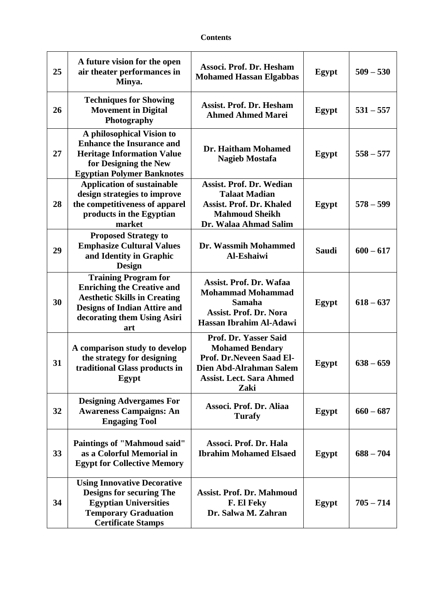| 25 | A future vision for the open<br>air theater performances in<br>Minya.                                                                                                                | Associ. Prof. Dr. Hesham<br><b>Mohamed Hassan Elgabbas</b>                                                                                        | <b>Egypt</b> | $509 - 530$ |
|----|--------------------------------------------------------------------------------------------------------------------------------------------------------------------------------------|---------------------------------------------------------------------------------------------------------------------------------------------------|--------------|-------------|
| 26 | <b>Techniques for Showing</b><br><b>Movement in Digital</b><br>Photography                                                                                                           | <b>Assist. Prof. Dr. Hesham</b><br><b>Ahmed Ahmed Marei</b>                                                                                       | Egypt        | $531 - 557$ |
| 27 | A philosophical Vision to<br><b>Enhance the Insurance and</b><br><b>Heritage Information Value</b><br>for Designing the New<br><b>Egyptian Polymer Banknotes</b>                     | Dr. Haitham Mohamed<br><b>Nagieb Mostafa</b>                                                                                                      | Egypt        | $558 - 577$ |
| 28 | <b>Application of sustainable</b><br>design strategies to improve<br>the competitiveness of apparel<br>products in the Egyptian<br>market                                            | <b>Assist. Prof. Dr. Wedian</b><br><b>Talaat Madian</b><br><b>Assist. Prof. Dr. Khaled</b><br><b>Mahmoud Sheikh</b><br>Dr. Walaa Ahmad Salim      | Egypt        | $578 - 599$ |
| 29 | <b>Proposed Strategy to</b><br><b>Emphasize Cultural Values</b><br>and Identity in Graphic<br>Design                                                                                 | Dr. Wassmih Mohammed<br><b>Al-Eshaiwi</b>                                                                                                         | <b>Saudi</b> | $600 - 617$ |
| 30 | <b>Training Program for</b><br><b>Enriching the Creative and</b><br><b>Aesthetic Skills in Creating</b><br><b>Designs of Indian Attire and</b><br>decorating them Using Asiri<br>art | Assist. Prof. Dr. Wafaa<br><b>Mohammad Mohammad</b><br><b>Samaha</b><br><b>Assist. Prof. Dr. Nora</b><br>Hassan Ibrahim Al-Adawi                  | Egypt        | $618 - 637$ |
| 31 | A comparison study to develop<br>the strategy for designing<br>traditional Glass products in<br>Egypt                                                                                | Prof. Dr. Yasser Said<br><b>Mohamed Bendary</b><br>Prof. Dr.Neveen Saad El-<br>Dien Abd-Alrahman Salem<br><b>Assist. Lect. Sara Ahmed</b><br>Zaki | Egypt        | $638 - 659$ |
| 32 | <b>Designing Advergames For</b><br><b>Awareness Campaigns: An</b><br><b>Engaging Tool</b>                                                                                            | Associ. Prof. Dr. Aliaa<br><b>Turafy</b>                                                                                                          | Egypt        | $660 - 687$ |
| 33 | <b>Paintings of "Mahmoud said"</b><br>as a Colorful Memorial in<br><b>Egypt for Collective Memory</b>                                                                                | Associ. Prof. Dr. Hala<br><b>Ibrahim Mohamed Elsaed</b>                                                                                           | Egypt        | $688 - 704$ |
| 34 | <b>Using Innovative Decorative</b><br><b>Designs for securing The</b><br><b>Egyptian Universities</b><br><b>Temporary Graduation</b><br><b>Certificate Stamps</b>                    | <b>Assist. Prof. Dr. Mahmoud</b><br>F. El Feky<br>Dr. Salwa M. Zahran                                                                             | Egypt        | $705 - 714$ |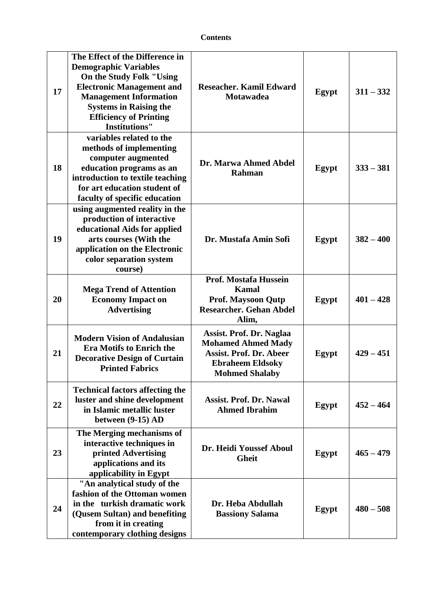| 17 | The Effect of the Difference in<br><b>Demographic Variables</b><br>On the Study Folk "Using<br><b>Electronic Management and</b><br><b>Management Information</b><br><b>Systems in Raising the</b><br><b>Efficiency of Printing</b><br><b>Institutions"</b> | Reseacher. Kamil Edward<br><b>Motawadea</b>                                                                                                 | Egypt | $311 - 332$ |
|----|------------------------------------------------------------------------------------------------------------------------------------------------------------------------------------------------------------------------------------------------------------|---------------------------------------------------------------------------------------------------------------------------------------------|-------|-------------|
| 18 | variables related to the<br>methods of implementing<br>computer augmented<br>education programs as an<br>introduction to textile teaching<br>for art education student of<br>faculty of specific education                                                 | Dr. Marwa Ahmed Abdel<br><b>Rahman</b>                                                                                                      | Egypt | $333 - 381$ |
| 19 | using augmented reality in the<br>production of interactive<br>educational Aids for applied<br>arts courses (With the<br>application on the Electronic<br>color separation system<br>course)                                                               | Dr. Mustafa Amin Sofi                                                                                                                       | Egypt | $382 - 400$ |
| 20 | <b>Mega Trend of Attention</b><br><b>Economy Impact on</b><br><b>Advertising</b>                                                                                                                                                                           | <b>Prof. Mostafa Hussein</b><br><b>Kamal</b><br><b>Prof. Maysoon Qutp</b><br><b>Researcher. Gehan Abdel</b><br>Alim,                        | Egypt | $401 - 428$ |
| 21 | <b>Modern Vision of Andalusian</b><br><b>Era Motifs to Enrich the</b><br><b>Decorative Design of Curtain</b><br><b>Printed Fabrics</b>                                                                                                                     | Assist. Prof. Dr. Naglaa<br><b>Mohamed Ahmed Mady</b><br><b>Assist. Prof. Dr. Abeer</b><br><b>Ebraheem Eldsoky</b><br><b>Mohmed Shalaby</b> | Egypt | $429 - 451$ |
| 22 | <b>Technical factors affecting the</b><br>luster and shine development<br>in Islamic metallic luster<br>between (9-15) AD                                                                                                                                  | <b>Assist. Prof. Dr. Nawal</b><br><b>Ahmed Ibrahim</b>                                                                                      | Egypt | $452 - 464$ |
| 23 | The Merging mechanisms of<br>interactive techniques in<br>printed Advertising<br>applications and its<br>applicability in Egypt                                                                                                                            | Dr. Heidi Youssef Aboul<br><b>Gheit</b>                                                                                                     | Egypt | $465 - 479$ |
| 24 | "An analytical study of the<br>fashion of the Ottoman women<br>in the turkish dramatic work<br>(Qusem Sultan) and benefiting<br>from it in creating<br>contemporary clothing designs                                                                       | Dr. Heba Abdullah<br><b>Bassiony Salama</b>                                                                                                 | Egypt | $480 - 508$ |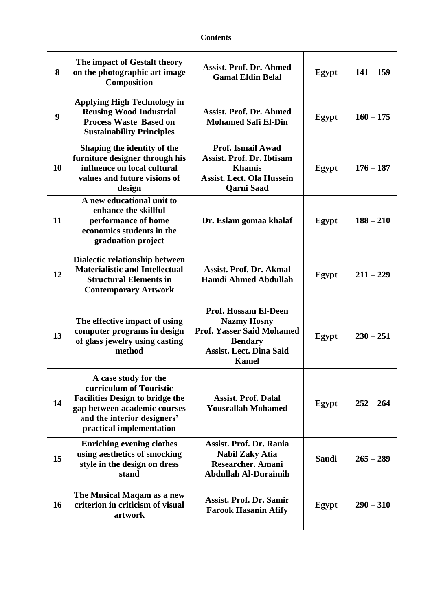| 8                | The impact of Gestalt theory<br>on the photographic art image<br>Composition                                                                                                         | <b>Assist. Prof. Dr. Ahmed</b><br><b>Gamal Eldin Belal</b>                                                                                                | Egypt        | $141 - 159$ |
|------------------|--------------------------------------------------------------------------------------------------------------------------------------------------------------------------------------|-----------------------------------------------------------------------------------------------------------------------------------------------------------|--------------|-------------|
| $\boldsymbol{9}$ | <b>Applying High Technology in</b><br><b>Reusing Wood Industrial</b><br><b>Process Waste Based on</b><br><b>Sustainability Principles</b>                                            | <b>Assist. Prof. Dr. Ahmed</b><br><b>Mohamed Safi El-Din</b>                                                                                              | Egypt        | $160 - 175$ |
| 10               | Shaping the identity of the<br>furniture designer through his<br>influence on local cultural<br>values and future visions of<br>design                                               | <b>Prof. Ismail Awad</b><br><b>Assist. Prof. Dr. Ibtisam</b><br><b>Khamis</b><br><b>Assist. Lect. Ola Hussein</b><br><b>Qarni Saad</b>                    | Egypt        | $176 - 187$ |
| 11               | A new educational unit to<br>enhance the skillful<br>performance of home<br>economics students in the<br>graduation project                                                          | Dr. Eslam gomaa khalaf                                                                                                                                    | Egypt        | $188 - 210$ |
| 12               | Dialectic relationship between<br><b>Materialistic and Intellectual</b><br><b>Structural Elements in</b><br><b>Contemporary Artwork</b>                                              | <b>Assist. Prof. Dr. Akmal</b><br><b>Hamdi Ahmed Abdullah</b>                                                                                             | Egypt        | $211 - 229$ |
| 13               | The effective impact of using<br>computer programs in design<br>of glass jewelry using casting<br>method                                                                             | <b>Prof. Hossam El-Deen</b><br><b>Nazmy Hosny</b><br><b>Prof. Yasser Said Mohamed</b><br><b>Bendary</b><br><b>Assist. Lect. Dina Said</b><br><b>Kamel</b> | Egypt        | $230 - 251$ |
| 14               | A case study for the<br>curriculum of Touristic<br><b>Facilities Design to bridge the</b><br>gap between academic courses<br>and the interior designers'<br>practical implementation | <b>Assist. Prof. Dalal</b><br><b>Yousrallah Mohamed</b>                                                                                                   | Egypt        | $252 - 264$ |
| 15               | <b>Enriching evening clothes</b><br>using aesthetics of smocking<br>style in the design on dress<br>stand                                                                            | <b>Assist. Prof. Dr. Rania</b><br><b>Nabil Zaky Atia</b><br><b>Researcher. Amani</b><br><b>Abdullah Al-Duraimih</b>                                       | <b>Saudi</b> | $265 - 289$ |
| 16               | The Musical Maqam as a new<br>criterion in criticism of visual<br>artwork                                                                                                            | <b>Assist. Prof. Dr. Samir</b><br><b>Farook Hasanin Afify</b>                                                                                             | Egypt        | $290 - 310$ |